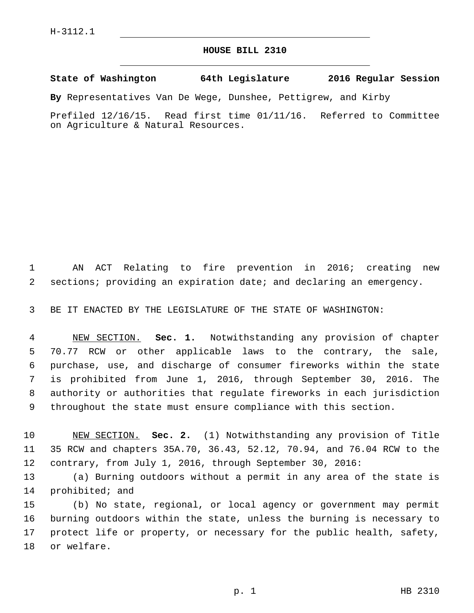## **HOUSE BILL 2310**

**State of Washington 64th Legislature 2016 Regular Session**

**By** Representatives Van De Wege, Dunshee, Pettigrew, and Kirby

Prefiled 12/16/15. Read first time 01/11/16. Referred to Committee on Agriculture & Natural Resources.

 AN ACT Relating to fire prevention in 2016; creating new sections; providing an expiration date; and declaring an emergency.

BE IT ENACTED BY THE LEGISLATURE OF THE STATE OF WASHINGTON:

 NEW SECTION. **Sec. 1.** Notwithstanding any provision of chapter 70.77 RCW or other applicable laws to the contrary, the sale, purchase, use, and discharge of consumer fireworks within the state is prohibited from June 1, 2016, through September 30, 2016. The authority or authorities that regulate fireworks in each jurisdiction throughout the state must ensure compliance with this section.

 NEW SECTION. **Sec. 2.** (1) Notwithstanding any provision of Title 35 RCW and chapters 35A.70, 36.43, 52.12, 70.94, and 76.04 RCW to the contrary, from July 1, 2016, through September 30, 2016:

 (a) Burning outdoors without a permit in any area of the state is 14 prohibited; and

 (b) No state, regional, or local agency or government may permit burning outdoors within the state, unless the burning is necessary to protect life or property, or necessary for the public health, safety, 18 or welfare.